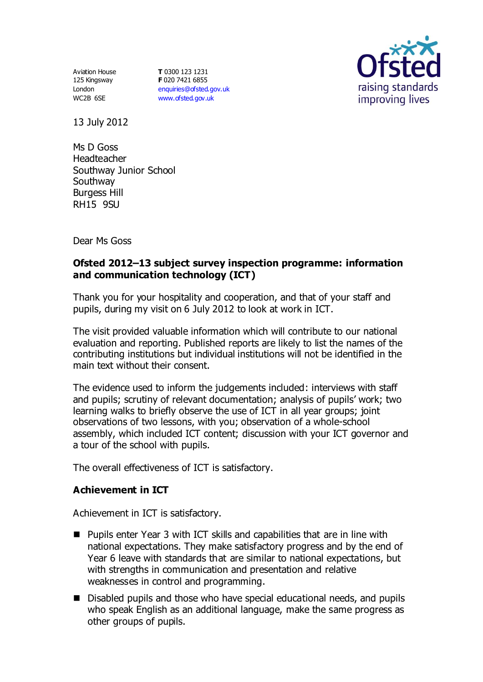Aviation House 125 Kingsway London WC2B 6SE

**T** 0300 123 1231 **F** 020 7421 6855 [enquiries@ofsted.gov.uk](mailto:enquiries@ofsted.gov.uk) [www.ofsted.gov.uk](http://www.ofsted.gov.uk/)



13 July 2012

Ms D Goss Headteacher Southway Junior School Southway Burgess Hill RH15 9SU

Dear Ms Goss

## **Ofsted 2012–13 subject survey inspection programme: information and communication technology (ICT)**

Thank you for your hospitality and cooperation, and that of your staff and pupils, during my visit on 6 July 2012 to look at work in ICT.

The visit provided valuable information which will contribute to our national evaluation and reporting. Published reports are likely to list the names of the contributing institutions but individual institutions will not be identified in the main text without their consent.

The evidence used to inform the judgements included: interviews with staff and pupils; scrutiny of relevant documentation; analysis of pupils' work; two learning walks to briefly observe the use of ICT in all year groups; joint observations of two lessons, with you; observation of a whole-school assembly, which included ICT content; discussion with your ICT governor and a tour of the school with pupils.

The overall effectiveness of ICT is satisfactory.

### **Achievement in ICT**

Achievement in ICT is satisfactory.

- Pupils enter Year 3 with ICT skills and capabilities that are in line with national expectations. They make satisfactory progress and by the end of Year 6 leave with standards that are similar to national expectations, but with strengths in communication and presentation and relative weaknesses in control and programming.
- Disabled pupils and those who have special educational needs, and pupils who speak English as an additional language, make the same progress as other groups of pupils.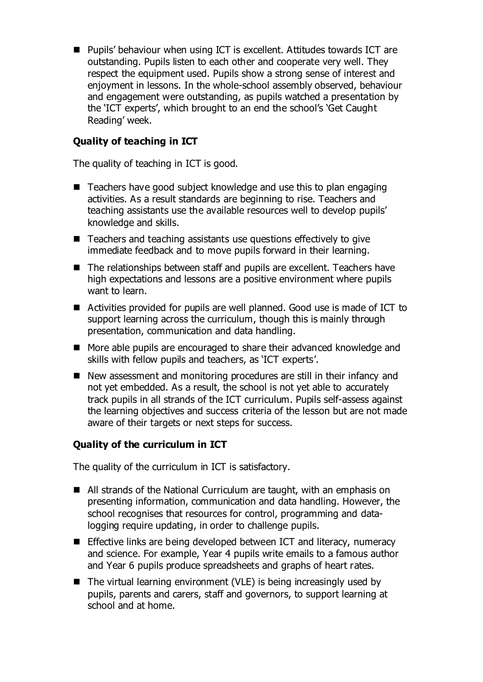■ Pupils' behaviour when using ICT is excellent. Attitudes towards ICT are outstanding. Pupils listen to each other and cooperate very well. They respect the equipment used. Pupils show a strong sense of interest and enjoyment in lessons. In the whole-school assembly observed, behaviour and engagement were outstanding, as pupils watched a presentation by the 'ICT experts', which brought to an end the school's 'Get Caught Reading' week.

# **Quality of teaching in ICT**

The quality of teaching in ICT is good.

- Teachers have good subject knowledge and use this to plan engaging activities. As a result standards are beginning to rise. Teachers and teaching assistants use the available resources well to develop pupils' knowledge and skills.
- Teachers and teaching assistants use questions effectively to give immediate feedback and to move pupils forward in their learning.
- The relationships between staff and pupils are excellent. Teachers have high expectations and lessons are a positive environment where pupils want to learn.
- Activities provided for pupils are well planned. Good use is made of ICT to support learning across the curriculum, though this is mainly through presentation, communication and data handling.
- More able pupils are encouraged to share their advanced knowledge and skills with fellow pupils and teachers, as 'ICT experts'.
- New assessment and monitoring procedures are still in their infancy and not yet embedded. As a result, the school is not yet able to accurately track pupils in all strands of the ICT curriculum. Pupils self-assess against the learning objectives and success criteria of the lesson but are not made aware of their targets or next steps for success.

### **Quality of the curriculum in ICT**

The quality of the curriculum in ICT is satisfactory.

- All strands of the National Curriculum are taught, with an emphasis on presenting information, communication and data handling. However, the school recognises that resources for control, programming and datalogging require updating, in order to challenge pupils.
- **Effective links are being developed between ICT and literacy, numeracy** and science. For example, Year 4 pupils write emails to a famous author and Year 6 pupils produce spreadsheets and graphs of heart rates.
- $\blacksquare$  The virtual learning environment (VLE) is being increasingly used by pupils, parents and carers, staff and governors, to support learning at school and at home.